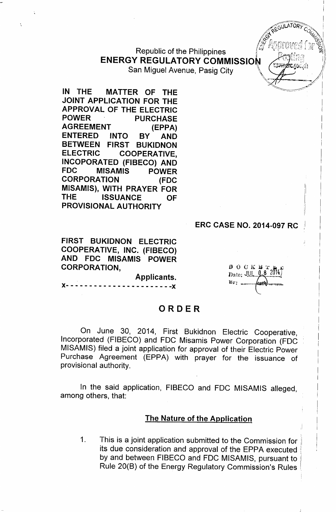Republic of the Philippines **ENERGY REGULATORY COMMISSION.** 

San Miguel Avenue, Pasig City

IN THE MATTER OF THE JOINT APPLICATION FOR THE APPROVAL OF THE ELECTRIC POWER PURCHASE AGREEMENT (EPPA) ENTERED INTO BY AND BETWEEN FIRST BUKIDNON ELECTRIC COOPERATIVE. INCOPORATED (FIBECO) AND FDC MISAMIS POWER CORPORATION (FDC . MISAMIS), WITH PRAYER FOR THE ISSUANCE OF PROVISIONAL AUTHORITY

#### ERC CASE NO. 2014-097 RC

FIRST BUKIDNON ELECTRIC COOPERATIVE, INC. (FIBECO) AND FDC MISAMIS POWER CORPORATION,

Applicants. )(- - - - - - - - - - - - - - - - - - - - - - -)(

 $B O C K B T$ Date; JUL 08 hwar

I i I

I I I I I I i

**E GULATORY COMPLETE**  $\mathcal{A}^{\star}$   $\mathcal{A}^{\star}$   $\mathcal{A}^{\star}$   $\mathcal{A}^{\star}$   $\mathcal{A}^{\star}$   $\mathcal{A}^{\star}$   $\mathcal{A}^{\star}$   $\mathcal{A}^{\star}$   $\mathcal{A}^{\star}$   $\mathcal{A}^{\star}$   $\mathcal{A}^{\star}$   $\mathcal{A}^{\star}$   $\mathcal{A}^{\star}$   $\mathcal{A}^{\star}$   $\mathcal{A}^{\star}$   $\mathcal{A}^{\star}$   $\mathcal{A}^{\star}$  */r.* :t;r.:,." *i/\.Y . ~'.. '~n* (fl' */.'£i li"* r:n~(JJ't.!D)i*(:<;'-'If* (Jl \  $\mathcal{S}$  , which is a set of  $\mathcal{S}'$ .\ *.'t!.,J* l.l I..:tjJt.~/tJ \_.' *"\::....,\.\_:.j .\1*

 $\sqrt{$ *'~.~::y/* <sup>I</sup>

# ORDER

On June 30, 2014, First Bukidnon Electric Cooperative, Incorporated (FIBECO) and FOC Misamis Power Corporation (FOC MISAMIS) filed a joint application for approval of their Electric Power Purchase Agreement (EPPA) with prayer for the issuance of provisional authority.

In the said application, FIBECO and FDC MISAMIS alleged, among others, that:

#### The Nature of the Application

1. This is a joint application submitted to the Commission for its due consideration and approval of the EPPA executed by and between FIBECO and FOC MISAMIS, pursuant to Rule 20(B) of the Energy Regulatory Commission's Rules "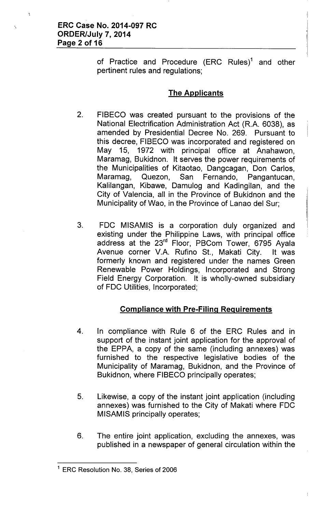of Practice and Procedure (ERC Rules)<sup>1</sup> and other pertinent rules and regulations;

# The Applicants

- 2. FIBECO was created pursuant to the provisions of the National Electrification Administration Act (R.A. 6038), as amended by Presidential Decree No. 269. Pursuant to this decree, FIBECO was incorporated and registered on May 15, 1972 with principal office at Anahawon, Maramag, Bukidnon. It serves the power requirements of the Municipalities of Kitaotao, Dangcagan, Don Carlos, Maramag, Quezon, San Fernando, Pangantucan, Kalilangan, Kibawe, Damulog and Kadingilan, and the City of Valencia, all in the Province of Bukidnon and the Municipality of Wao, in the Province of Lanao del Sur;
- 3. FDC MISAMIS is a corporation duly organized and existing under the Philippine Laws, with principal office address at the 23<sup>rd</sup> Floor, PBCom Tower, 6795 Ayala Avenue corner V.A. Rufino St., Makati City. It was formerly known and registered under the names Green Renewable Power Holdings, Incorporated and Strong Field Energy Corporation. It is wholly-owned subsidiary of FDC Utilities, Incorporated;

# Compliance with Pre-Filing Requirements

- 4. In compliance with Rule 6 of the ERC Rules and in support of the instant joint application for the approval of the EPPA, a copy of the same (including annexes) was furnished to the respective legislative bodies of the Municipality of Maramag, Bukidnon, and the Province of Bukidnon, where FIBECO principally operates;
- 5. Likewise, a copy of the instant joint application (including annexes) was furnished to the City of Makati where FDC MISAMIS principally operates;
- 6. The entire joint application, excluding the annexes, was published in a newspaper of general circulation within the

<sup>&</sup>lt;sup>1</sup> ERC Resolution No. 38, Series of 2006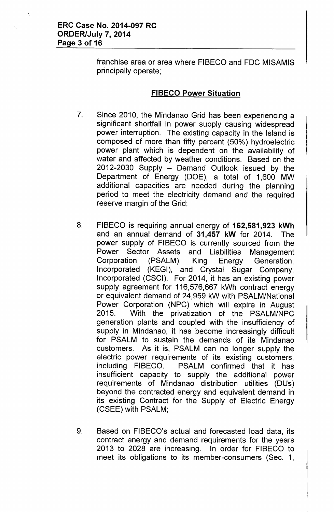franchise area or area where FIBECO and FDC MISAMIS principally operate;

## **FIBECO Power Situation**

- 7. Since 2010, the Mindanao Grid has been experiencing a significant shortfall in power supply causing widespread power interruption. The existing capacity in the Island is composed of more than fifty percent (50%) hydroelectric power plant which is dependent on the availability of water and affected by weather conditions. Based on the 2012-2030 Supply - Demand Outlook issued by the Department of Energy (DOE), a total of 1,600 MW additional capacities are needed during the planning period to meet the electricity demand and the required reserve margin of the Grid;
- 8. FIBECO is requiring annual energy of **162,581,923 kWh** and an annual demand of **31,457 kW** for 2014. The power supply of FIBECO is currently sourced from the Power Sector Assets and Liabilities Management Corporation (PSALM), King Energy Generation, Incorporated (KEGI), and Crystal Sugar Company, Incorporated (CSCI). For 2014, it has an existing power supply agreement for 116,576,667 kWh contract energy or equivalent demand of 24,959 kW with PSALM/National Power Corporation (NPC) which will expire in August 2015. With the privatization of the PSALM/NPC generation plants and coupled with the insufficiency of supply in Mindanao, it has become increasingly difficult for PSALM to sustain the demands of its Mindanao customers. As it is, PSALM can no longer supply the electric power requirements of its existing customers, including FIBECO. PSALM confirmed that it has insufficient capacity to supply the additional power requirements of Mindanao distribution utilities (DUs) beyond the contracted energy and equivalent demand in its existing Contract for the Supply of Electric Energy (CSEE) with PSALM;
- 9. Based on FIBECO's actual and forecasted load data, its contract energy and demand requirements for the years 2013 to 2028 are increasing. In order for FIBECO to meet its obligations to its member-consumers (Sec. 1,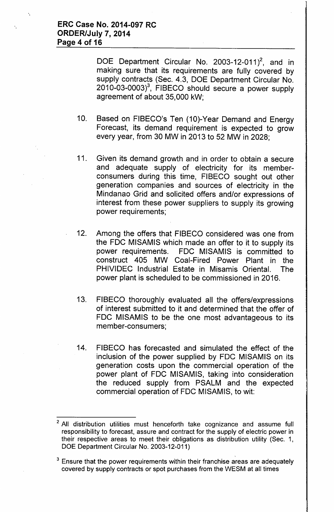DOE Department Circular No. 2003-12-011 $^2$ , and in making sure that its requirements are fully covered by supply contracts (Sec. 4.3, DOE Department Circular No.  $2010-03-0003$ <sup>3</sup>, FIBECO should secure a power supply agreement of about 35,000 kW;

- 10. Based on FIBECO's Ten (10)-Year Demand and Energy Forecast, its demand requirement is expected to grow every year, from 30 MW in 2013 to 52 MW in 2028;
- 11. Given its demand growth and in order to obtain a secure and adequate supply of electricity for its memberconsumers during this time, FIBECO sought out other generation companies and sources of electricity in the Mindanao Grid and solicited offers and/or expressions of interest from these power suppliers to supply its growing power requirements;
- 12. Among the offers that FIBECO considered was one from the FDC MISAMIS which made an offer to it to supply its power requirements. FDC MISAMIS is committed to construct 405 MW Coal-Fired Power Plant in the PHIVIDEC Industrial Estate in Misamis Oriental. The power plant is scheduled to be commissioned in 2016.
- 13. FIBECO thoroughly evaluated all the offers/expressions of interest submitted to it and determined that the offer of FDC MISAMIS to be the one most advantageous to its member-consumers;
- 14. FIBECO has forecasted and simulated the effect of the inclusion of the power supplied by FDC MISAMIS on its generation costs upon the commercial operation of the power plant of FDC MISAMIS, taking into consideration the reduced supply from PSALM and the expected commercial operation of FDC MISAMIS, to wit:

All distribution utilities must henceforth take cognizance and assume full responsibility to forecast, assure and contract for the supply of electric power in their respective areas to meet their obligations as distribution utility (Sec. 1, DOE Department Circular No. 2003-12-011)

 $3$  Ensure that the power requirements within their franchise areas are adequately covered by supply contracts or spot purchases from the WESM at all times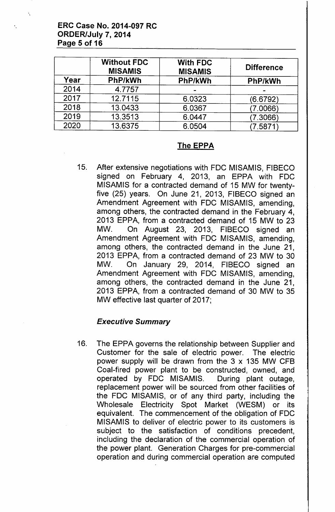## ERC Case No. 2014-097 RC ORDER/July 7, 2014 Page 5 of 16

|      | <b>Without FDC</b><br><b>MISAMIS</b> | <b>With FDC</b><br><b>MISAMIS</b> | <b>Difference</b> |
|------|--------------------------------------|-----------------------------------|-------------------|
| Year | PhP/kWh                              | PhP/kWh                           | PhP/kWh           |
| 2014 | 4.7757                               |                                   |                   |
| 2017 | 12.7115                              | 6.0323                            | (6.6792)          |
| 2018 | 13.0433                              | 6.0367                            | 7.0066)           |
| 2019 | 13.3513                              | 6.0447                            | 7.3066)           |
| 2020 | 13.6375                              | 6.0504                            | 7.5871            |

## The EPPA

15. After extensive negotiations with FOC MISAMIS, FIBECO signed on February 4, 2013, an EPPA with FDC MISAMIS for a contracted demand of 15 MW for twentyfive (25) years. On June 21, 2013, FIBECO signed an Amendment Agreement with FOC MISAMIS, amending, among others, the contracted demand in the February 4, 2013 EPPA, from a contracted demand of 15 MW to 23 MW. On August 23, 2013, FIBECO signed an Amendment Agreement with FOC MISAMIS, amending, among others, the contracted demand in the June 21, 2013 EPPA, from a contracted demand of 23 MW to 30 MW. On January 29, 2014, FIBECO signed an Amendment Agreement with FOC MISAMIS, amending, among others, the contracted demand in the June 21, 2013 EPPA, from a contracted demand of 30 MW to 35 MW effective last quarter of 2017;

## *Executive Summary*

16. The EPPA governs the relationship between Supplier and Customer for the sale of electric power. The electric power supply will be drawn from the  $3 \times 135$  MW CFB Coal-fired power plant to be constructed, owned, and operated by FOC MISAMIS. During plant outage, replacement power will be sourced from other facilities of the FOC MISAMIS, or of any third party, including the Wholesale Electricity Spot Market (WESM) or its equivalent. The commencement of the obligation of FOC MISAMIS to deliver of electric power to its customers is subject to the satisfaction of conditions precedent, including the declaration of the commercial operation of the power plant. Generation Charges for pre-commercial operation and during commercial operation are computed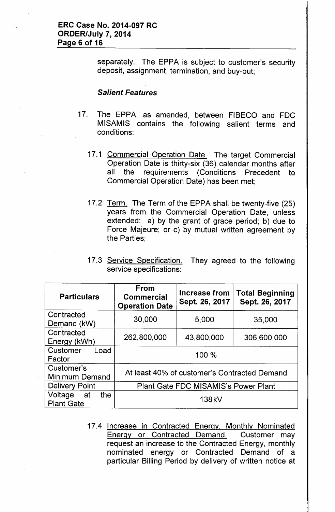'.

separately. The EPPA is subject to customer's security deposit, assignment, termination, and buy-out;

#### *Salient Features*

- 17. The EPPA, as amended, between FIBECO and FDC MISAMIS contains the following salient terms and conditions:
	- 17.1 Commercial Operation Date. The target Commercial Operation Date is thirty-six (36) calendar months after all the requirements (Conditions Precedent to Commercial Operation Date) has been met;
	- 17.2 Term. The Term of the EPPA shall be twenty-five (25) years from the Commercial Operation Date, unless extended: a) by the grant of grace period; b) due to Force Majeure; or c) by mutual written agreement by the Parties;
	- 17.3 Service Specification. They agreed to the following service specifications:

| <b>Particulars</b>                        | <b>From</b><br><b>Commercial</b><br><b>Operation Date</b> | Increase from<br>Sept. 26, 2017 | <b>Total Beginning</b><br>Sept. 26, 2017 |
|-------------------------------------------|-----------------------------------------------------------|---------------------------------|------------------------------------------|
| Contracted<br>Demand (kW)                 | 30,000                                                    | 5,000                           | 35,000                                   |
| Contracted<br>Energy (kWh)                | 262,800,000                                               | 43,800,000                      | 306,600,000                              |
| Customer<br>Load<br>Factor                |                                                           | 100 %                           |                                          |
| Customer's<br><b>Minimum Demand</b>       | At least 40% of customer's Contracted Demand              |                                 |                                          |
| <b>Delivery Point</b>                     | <b>Plant Gate FDC MISAMIS's Power Plant</b>               |                                 |                                          |
| Voltage<br>the<br>at<br><b>Plant Gate</b> | 138 <sub>k</sub> V                                        |                                 |                                          |

17.4 Increase in Contracted Energy, Monthly Nominated Energy or Contracted Demand. Customer may request an increase to the Contracted Energy, monthly nominated energy or Contracted Demand of a particular Billing Period by delivery of written notice at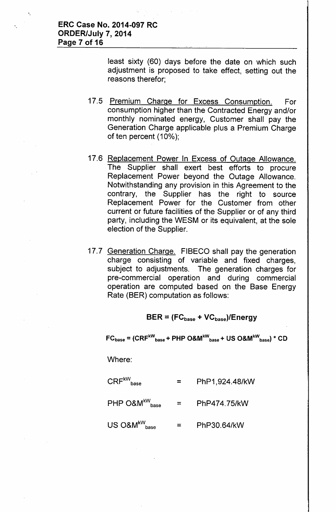least sixty (60) days before the date on which such adjustment is proposed to take effect, setting out the reasons therefor;

- 17.5 Premium Charge for Excess Consumption. For consumption higher than the Contracted Energy and/or monthly nominated energy, Customer shall pay the Generation Charge applicable plus a Premium Charge of ten percent (10%);
- 17.6 Replacement Power In Excess of Outage Allowance. The Supplier shall exert best efforts to procure Replacement Power beyond the Outage Allowance. Notwithstanding any provision in this Agreement to the contrary, the Supplier has the right to source Replacement Power for the Customer from other current or future facilities of the Supplier or of any third party, including the WESM or its equivalent, at the sole election of the Supplier.
- 17.7 Generation Charge. FIBECO shall pay the generation charge consisting of variable and fixed charges, subject to adjustments. The generation charges for pre-commercial operation and during commercial operation are computed based on the Base Energy Rate (BER) computation as follows:

$$
BER = (FC_{base} + VC_{base})/Energy
$$

 $FC_{\text{base}} = (CRF^{\text{kW}}_{\text{base}} + PHP\ O\&M^{\text{kW}}_{\text{base}} + US\ O\&M^{\text{kW}}_{\text{base}}) * CD$ 

Where:

| $\mathsf{CRF}^{\mathsf{kW}}_{\mathsf{base}}$                       |              | PhP1,924.48/kW |
|--------------------------------------------------------------------|--------------|----------------|
| $\mathsf{PHP}{}$ O&M $^{\mathsf{kW}}_{\mathsf{base}}$              | $=$ $\qquad$ | PhP474.75/kW   |
| $\mathsf{US}~\mathsf{O}\mathbf{\&M}^{\mathsf{kW}}_{\mathsf{base}}$ | $=$ $-$      | PhP30.64/kW    |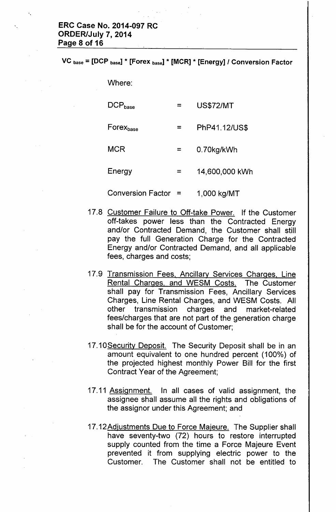'.

VC <sub>base</sub> = [DCP <sub>base</sub>] \* [Forex <sub>base</sub>] \* [MCR] \* [Energy] */* Conversion Factor

Where:

| DCP <sub>base</sub>      |   | <b>US\$72/MT</b> |
|--------------------------|---|------------------|
| Forexbase                |   | PhP41.12/US\$    |
| <b>MCR</b>               |   | 0.70kg/kWh       |
| Energy                   | ᆖ | 14,600,000 kWh   |
| <b>Conversion Factor</b> |   | 1,000 kg/MT      |

- 17.8 Customer Failure to Off-take Power. If the Customer off-takes power less than the Contracted Energy and/or Contracted Demand, the Customer shall still pay the full Generation Charge for the Contracted Energy and/or Contracted Demand, and all applicable fees, charges and costs;
- 17.9 Transmission Fees, Ancillary Services Charges, Line Rental Charges, and WESM Costs. The Customer shall pay for Transmission Fees, Ancillary Services Charges, Line Rental Charges, and WESM Costs. All other transmission charges and market-related fees/charges that are not part of the generation charge shall be for the account of Customer;
- 17.10 Security Deposit. The Security Deposit shall be in an amount equivalent to one hundred percent (100%) of the projected highest monthly Power Bill for the first Contract Year of the Agreement;
- 17.11 Assignment. In all cases of valid assignment, the assignee shall assume all the rights and obligations of the assignor under this Agreement; and
- 17.12Adjustments Due to Force Majeure. The Supplier shall have seventy-two (72) hours to restore interrupted supply counted from the time a Force Majeure Event prevented it from supplying electric power to the Customer. The Customer shall not be entitled to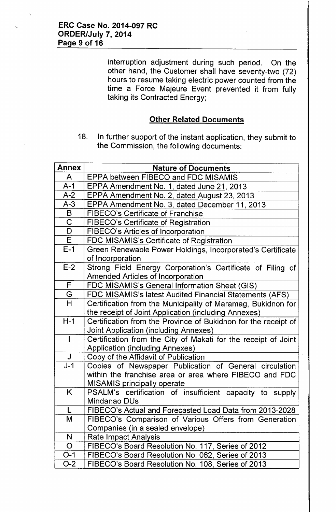k.

interruption adjustment during such period. On the other hand, the Customer shall have seventy-two (72) hours to resume taking electric power counted from the time a Force Majeure Event prevented it from fully taking its Contracted Energy;

# **Other Related Documents**

18. In further support of the instant application, they submit to the Commission, the following documents:

| <b>Annex</b>   | <b>Nature of Documents</b>                                     |
|----------------|----------------------------------------------------------------|
| $\mathsf{A}$   | EPPA between FIBECO and FDC MISAMIS                            |
| $A-1$          | EPPA Amendment No. 1, dated June 21, 2013                      |
| $A-2$          | EPPA Amendment No. 2, dated August 23, 2013                    |
| $A-3$          | EPPA Amendment No. 3, dated December 11, 2013                  |
| B              | <b>FIBECO's Certificate of Franchise</b>                       |
| $\overline{C}$ | <b>FIBECO's Certificate of Registration</b>                    |
| D              | <b>FIBECO's Articles of Incorporation</b>                      |
| E              | FDC MISAMIS's Certificate of Registration                      |
| $E-1$          | Green Renewable Power Holdings, Incorporated's Certificate     |
|                | of Incorporation                                               |
| $E-2$          | Strong Field Energy Corporation's Certificate of Filing of     |
|                | Amended Articles of Incorporation                              |
| F              | FDC MISAMIS's General Information Sheet (GIS)                  |
| G              | FDC MISAMIS's latest Audited Financial Statements (AFS)        |
| H              | Certification from the Municipality of Maramag, Bukidnon for   |
|                | the receipt of Joint Application (including Annexes)           |
| $H-1$          | Certification from the Province of Bukidnon for the receipt of |
|                | Joint Application (including Annexes)                          |
| $\mathbf{I}$   | Certification from the City of Makati for the receipt of Joint |
|                | <b>Application (including Annexes)</b>                         |
| $\mathsf J$    | Copy of the Affidavit of Publication                           |
| $J-1$          | Copies of Newspaper Publication of General circulation         |
|                | within the franchise area or area where FIBECO and FDC         |
|                | <b>MISAMIS</b> principally operate                             |
| K.             | PSALM's certification of insufficient capacity to supply       |
|                | Mindanao DUs                                                   |
| L              | FIBECO's Actual and Forecasted Load Data from 2013-2028        |
| M              | FIBECO's Comparison of Various Offers from Generation          |
|                | Companies (in a sealed envelope)                               |
| N              | Rate Impact Analysis                                           |
| $\overline{O}$ | FIBECO's Board Resolution No. 117, Series of 2012              |
| $O-1$          | FIBECO's Board Resolution No. 062, Series of 2013              |
| $O-2$          | FIBECO's Board Resolution No. 108, Series of 2013              |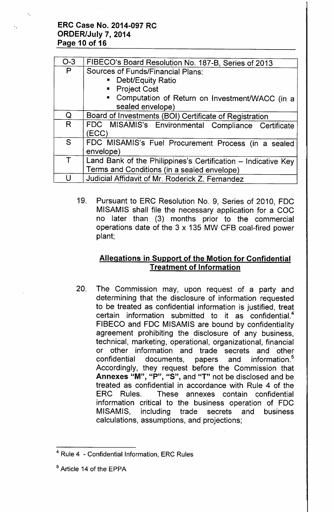## **ERC Case No. 2014-097 RC ORDER/July 7, 2014 Page 10 of 16**

| O-3 | FIBECO's Board Resolution No. 187-B, Series of 2013                                                                                                              |
|-----|------------------------------------------------------------------------------------------------------------------------------------------------------------------|
| P   | <b>Sources of Funds/Financial Plans:</b><br><b>-</b> Debt/Equity Ratio<br>• Project Cost<br>" Computation of Return on Investment/WACC (in a<br>sealed envelope) |
| Q   | Board of Investments (BOI) Certificate of Registration                                                                                                           |
| R   | FDC MISAMIS's Environmental Compliance Certificate<br>(ECC)                                                                                                      |
| S.  | FDC MISAMIS's Fuel Procurement Process (in a sealed<br>envelope)                                                                                                 |
| T.  | Land Bank of the Philippines's Certification - Indicative Key<br>Terms and Conditions (in a sealed envelope)                                                     |
|     | Judicial Affidavit of Mr. Roderick Z. Fernandez                                                                                                                  |

19. Pursuant to ERC Resolution NO.9, Series of 2010, FDC MISAMIS shall file the necessary application for a COC no later than (3) months prior to the commercial operations date of the 3 x 135 MW CFB coal-fired power plant;

# **Allegations in Support of the Motion for Confidential Treatment of Information**

20. The Commission may, upon request of a party and determining that the disclosure of information requested to be treated as confidential information is justified, treat certain information submitted to it as confidential.<sup>4</sup> FIBECO and FDC MISAMIS are bound by confidentiality agreement prohibiting the disclosure of any business, technical, marketing, operational, organizational, financial or other information and trade secrets and other confidential documents, papers and information.<sup>5</sup> Accordingly, they request before the Commission that **Annexes** "M", "P", "S", and "T" not be disclosed and be treated as confidential in accordance with Rule 4 of the ERC Rules. These annexes contain confidential information critical to the business operation of FDC MISAMIS, including trade secrets and business calculations, assumptions, and projections;

<sup>4</sup> Rule 4 - Confidential Information, ERC Rules

<sup>5</sup> Article 14 of the EPPA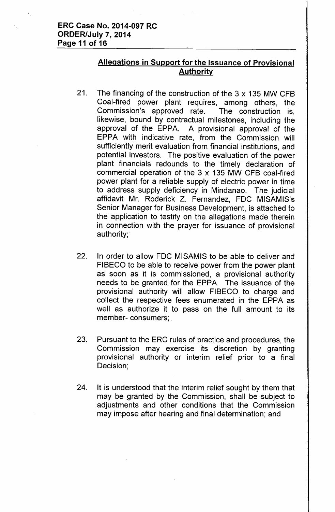#### ERC Case No. 2014-097 RC ORDER/July 7, 2014 Page 11 of 16

# Allegations in Support for the Issuance of Provisional Authority

- 21. The financing of the construction of the 3 x 135 MW CFB Coal-fired power plant requires, among others, the Commission's approved rate. The construction is, likewise, bound by contractual milestones, including the approval of the EPPA. A provisional approval of the EPPA with indicative rate, from the Commission will sufficiently merit evaluation from financial institutions, and potential investors. The positive evaluation of the power plant financials redounds to the timely declaration of commercial operation of the 3 x 135 MW CFB coal-fired power plant for a reliable supply of electric power in time to address supply deficiency in Mindanao. The judicial affidavit Mr. Roderick Z. Fernandez, FDC MISAMIS's Senior Manager for Business Development, is attached to the application to testify on the allegations made therein in connection with the prayer for issuance of provisional authority;
- 22. In order to allow FDC MISAMIS to be able to deliver and FIBECO to be able to receive power from the power plant as soon as it is commissioned, a provisional authority needs to be granted for the EPPA. The issuance of the provisional authority will allow FIBECO to charge and collect the respective fees enumerated in the EPPA as well as authorize it to pass on the full amount to its member- consumers;
- 23. Pursuant to the ERC rules of practice and procedures, the Commission may exercise its discretion by granting provisional authority or interim relief prior to a final Decision;
- 24. It is understood that the interim relief sought by them that may be granted by the Commission, shall be subject to adjustments and other conditions that the Commission may impose after hearing and final determination; and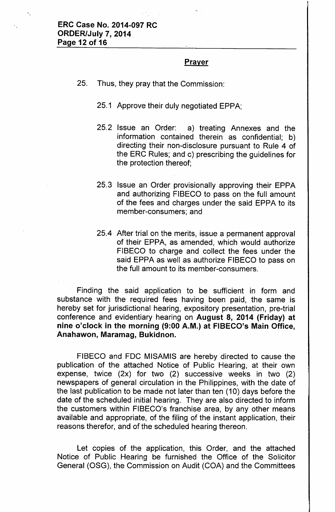#### **Prayer**

- 25. Thus, they pray that the Commission:
	- 25.1 Approve their duly negotiated EPPA;
	- 25.2 Issue an Order: a) treating Annexes and the information contained therein as confidential; b) directing their non-disclosure pursuant to Rule 4 of the ERC Rules; and c) prescribing the guidelines for the protection thereof;
	- 25.3 Issue an Order provisionally approving their EPPA and authorizing FIBECO to pass on the full amount of the fees and charges under the said EPPA to its member-consumers; and
	- 25.4 After trial on the merits, issue a permanent approval of their EPPA, as amended, which would authorize FIBECO to charge and collect the fees under the said EPPA as well as authorize FIBECO to pass on the full amount to its member-consumers.

Finding the said application to be sufficient in form and substance with the required fees having been paid, the same is hereby set for jurisdictional hearing, expository presentation, pre-trial conference and evidentiary hearing on August 8, 2014 (Friday) at nine o'clock in the morning (9:00 A.M.) at FIBECO's Main Office, Anahawon, Maramag, Bukidnon.

FIBECO and FOC MISAMIS are hereby directed to cause the publication of the attached Notice of Public Hearing, at their own expense, twice (2x) for two (2) successive weeks in two (2) newspapers of general circulation in the Philippines, with the date of the last publication to be made not later than ten (10) days before the date of the scheduled initial hearing. They are also directed to inform the customers within FIBECO's franchise area, by any other means available and appropriate, of the filing of the instant application, their reasons therefor, and of the scheduled hearing thereon.

Let copies of the application, this Order, and the attached Notice of Public Hearing be furnished the Office of the Solicitor General (OSG), the Commission on Audit (COA) and the Committees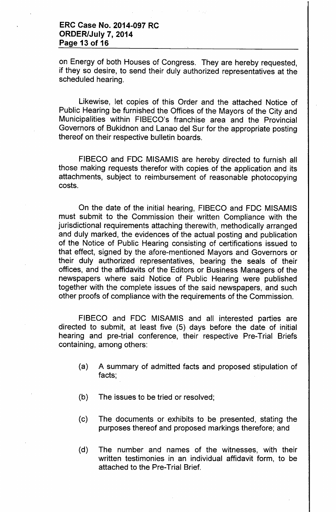## **ERC Case No. 2014-097 RC ORDER/July 7, 2014 Page 13 of 16**

on Energy of both Houses of Congress. They are hereby requested, if they so desire, to send their duly authorized representatives at the scheduled hearing.

Likewise, let copies of this Order and the attached Notice of Public Hearing be furnished the Offices of the Mayors of the City and Municipalities within FIBECO's franchise area and the Provincial Governors of Bukidnon and Lanao del Sur for the appropriate posting thereof on their respective bulletin boards.

FIBECO and FOC MISAMIS are hereby directed to furnish all those making requests therefor with copies of the application and its attachments, subject to reimbursement of reasonable photocopying costs.

On the date of the initial hearing, FIBECO and FOC MISAMIS must submit to the Commission their written Compliance with the jurisdictional requirements attaching therewith, methodically arranged and duly marked, the evidences of the actual posting and publication of the Notice of Public Hearing consisting of certifications issued to that effect, signed by the afore-mentioned Mayors and Governors or their duly authorized representatives, bearing the seals of their offices, and the affidavits of the Editors or Business Managers of the newspapers where said Notice of Public Hearing were published together with the complete issues of the said newspapers, and such other proofs of compliance with the requirements of the Commission.

FIBECO and FOC MISAMIS and all interested parties are directed to submit, at least five (5) days before the date of initial hearing and pre-trial conference, their respective Pre-Trial Briefs containing, among others:

- (a) A summary of admitted facts and proposed stipulation of facts;
- (b) The issues to be tried or resolved;
- (c) The documents or exhibits to be presented, stating the purposes thereof and proposed markings therefore; and
- (d) The number and names of the witnesses, with their written testimonies in an individual affidavit form, to be attached to the Pre-Trial Brief.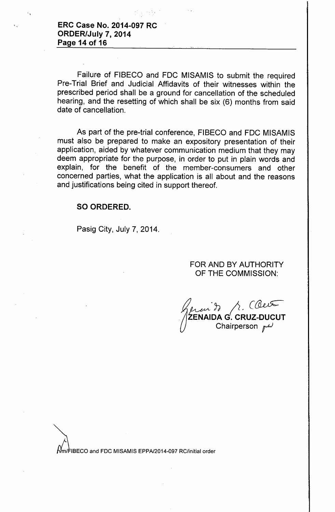ERC Case No. 2014-097 RC ORDER/July 7, 2014 Page 14 of 16

Failure of FIBECO and FOC MISAMIS to submit the required Pre-Trial Brief and Judicial Affidavits of their witnesses within the prescribed period shall be a ground for cancellation of the scheduled hearing, and the resetting of which shall be six (6) months from said date of cancellation.

As part of the pre-trial conference, FIBECO and FOC MISAMIS must also be prepared to make an expository presentation of their application, aided by whatever communication medium that they may deem appropriate for the purpose, in order to put in plain words and explain, for the benefit of the member-consumers and other concerned parties, what the application is all about and the reasons and justifications being cited in support thereof.

#### SO ORDERED.

Pasig City, July 7, 2014.

FOR AND BY AUTHORITY OF THE COMMISSION:

in J. Cleu ŹENAIDA G. CRUZ-DUCUT Chairperson  $r^{\omega}$ 

 $\emph{Im/Fi BECO}$  and FDC MISAMIS EPPA/2014-097 RC/initial order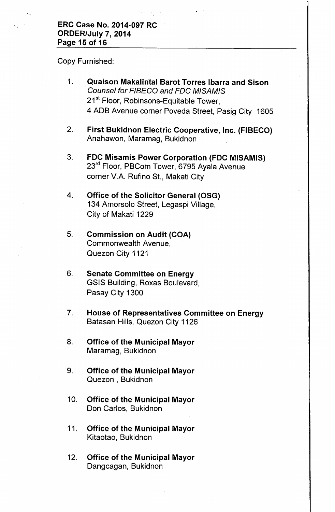Copy Furnished:

- 1. **Quaison Makalirital Barot Torres Ibarra and Sison** *Counsel for FIBEGO and FOG MISAMIS* 21<sup>st</sup> Floor, Robinsons-Equitable Tower, 4 ADB Avenue corner Poveda Street, Pasig City 1605
- 2. **First Bukidnon Electric Cooperative, Inc. (FIBECO)** Anahawon, Maramag, Bukidnon
- 3. **FDC Misamis Power Corporation (FDC MISAMIS)** 23<sup>rd</sup> Floor, PBCom Tower, 6795 Ayala Avenue corner V.A. Rufino St., Makati City
- 4. **Office of the Solicitor General (OSG)** 134 Amorsolo Street, Legaspi Village, City of Makati 1229
- 5. **Commission on Audit (COA)** Commonwealth Avenue, Quezon City 1121
- 6. **Senate Committee on Energy** GSIS Building, Roxas Boulevard, Pasay City 1300
- 7. **House of Representatives Committee on Energy** Batasan Hills, Quezon City 1126
- 8. **Office of the Municipal Mayor** Maramag, Bukidnon
- 9. **Office of the Municipal Mayor** Quezon, Bukidnon
- 10. **Office of the Municipal Mayor** Don Carlos, Bukidnon
- 11. **Office of the Municipal Mayor** Kitaotao, Bukidnon
- 12. **Office of the Municipal Mayor** Dangcagan, Bukidnon